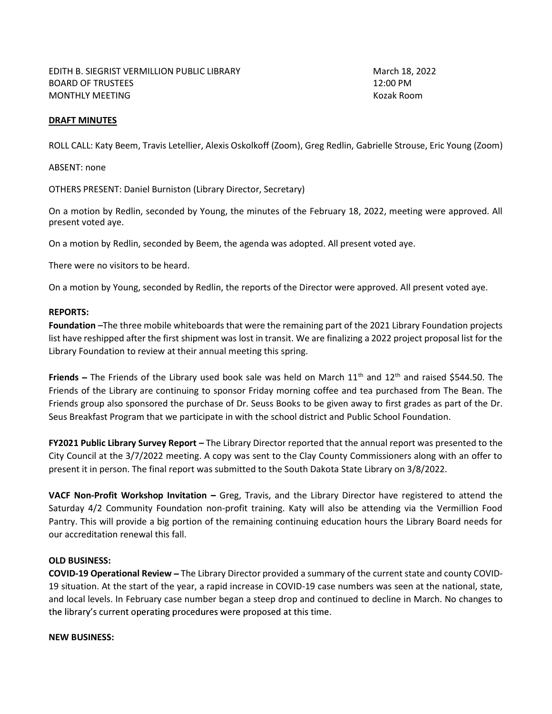## DRAFT MINUTES

ROLL CALL: Katy Beem, Travis Letellier, Alexis Oskolkoff (Zoom), Greg Redlin, Gabrielle Strouse, Eric Young (Zoom)

ABSENT: none

OTHERS PRESENT: Daniel Burniston (Library Director, Secretary)

On a motion by Redlin, seconded by Young, the minutes of the February 18, 2022, meeting were approved. All present voted aye.

On a motion by Redlin, seconded by Beem, the agenda was adopted. All present voted aye.

There were no visitors to be heard.

On a motion by Young, seconded by Redlin, the reports of the Director were approved. All present voted aye.

## REPORTS:

Foundation -The three mobile whiteboards that were the remaining part of the 2021 Library Foundation projects list have reshipped after the first shipment was lost in transit. We are finalizing a 2022 project proposal list for the Library Foundation to review at their annual meeting this spring.

Friends – The Friends of the Library used book sale was held on March  $11<sup>th</sup>$  and  $12<sup>th</sup>$  and raised \$544.50. The Friends of the Library are continuing to sponsor Friday morning coffee and tea purchased from The Bean. The Friends group also sponsored the purchase of Dr. Seuss Books to be given away to first grades as part of the Dr. Seus Breakfast Program that we participate in with the school district and Public School Foundation.

FY2021 Public Library Survey Report - The Library Director reported that the annual report was presented to the City Council at the 3/7/2022 meeting. A copy was sent to the Clay County Commissioners along with an offer to present it in person. The final report was submitted to the South Dakota State Library on 3/8/2022.

VACF Non-Profit Workshop Invitation - Greg, Travis, and the Library Director have registered to attend the Saturday 4/2 Community Foundation non-profit training. Katy will also be attending via the Vermillion Food Pantry. This will provide a big portion of the remaining continuing education hours the Library Board needs for our accreditation renewal this fall.

## OLD BUSINESS:

COVID-19 Operational Review The Library Director provided a summary of the current state and county COVID-19 situation. At the start of the year, a rapid increase in COVID-19 case numbers was seen at the national, state, and local levels. In February case number began a steep drop and continued to decline in March. No changes to the library's current operating procedures were proposed at this time.

## NEW BUSINESS: